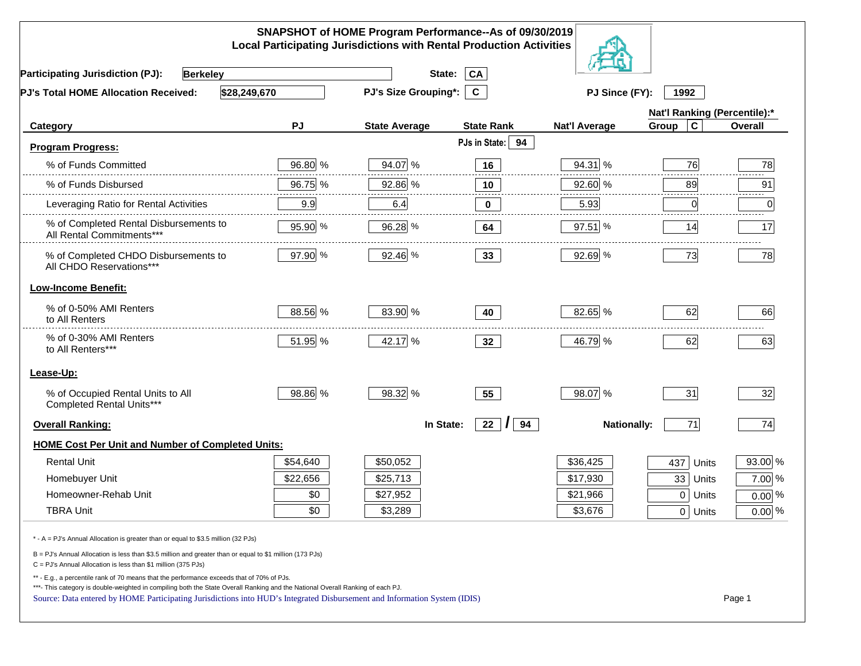| SNAPSHOT of HOME Program Performance--As of 09/30/2019<br><b>Local Participating Jurisdictions with Rental Production Activities</b>                                                                                                                                                                                                                     |          |                             |                      |                      |                              |          |  |
|----------------------------------------------------------------------------------------------------------------------------------------------------------------------------------------------------------------------------------------------------------------------------------------------------------------------------------------------------------|----------|-----------------------------|----------------------|----------------------|------------------------------|----------|--|
| <b>Participating Jurisdiction (PJ):</b><br><b>Berkeley</b>                                                                                                                                                                                                                                                                                               |          | State:                      | CA                   |                      |                              |          |  |
| \$28,249,670<br><b>PJ's Total HOME Allocation Received:</b>                                                                                                                                                                                                                                                                                              |          | <b>PJ's Size Grouping*:</b> | $\mathbf{C}$         | PJ Since (FY):       | 1992                         |          |  |
|                                                                                                                                                                                                                                                                                                                                                          |          |                             |                      |                      | Nat'l Ranking (Percentile):* |          |  |
| Category                                                                                                                                                                                                                                                                                                                                                 | PJ       | <b>State Average</b>        | <b>State Rank</b>    | <b>Nat'l Average</b> | $\mathbf c$<br>Group         | Overall  |  |
| <b>Program Progress:</b>                                                                                                                                                                                                                                                                                                                                 |          |                             | PJs in State: 94     |                      |                              |          |  |
| % of Funds Committed                                                                                                                                                                                                                                                                                                                                     | 96.80 %  | 94.07 %                     | 16                   | 94.31 %              | 76                           | 78       |  |
| % of Funds Disbursed                                                                                                                                                                                                                                                                                                                                     | 96.75 %  | 92.86 %                     | 10                   | 92.60 %              | 89                           | 91       |  |
| Leveraging Ratio for Rental Activities                                                                                                                                                                                                                                                                                                                   | 9.9      | 6.4                         | 0                    | 5.93                 | 0                            | .<br>0   |  |
| % of Completed Rental Disbursements to<br>All Rental Commitments***                                                                                                                                                                                                                                                                                      | 95.90 %  | 96.28 %                     | 64                   | 97.51 %              | 14                           | 17       |  |
| % of Completed CHDO Disbursements to<br>All CHDO Reservations***                                                                                                                                                                                                                                                                                         | 97.90 %  | 92.46 %                     | 33 <sup>°</sup>      | 92.69 %              | 73                           | 78       |  |
| <b>Low-Income Benefit:</b>                                                                                                                                                                                                                                                                                                                               |          |                             |                      |                      |                              |          |  |
| % of 0-50% AMI Renters<br>to All Renters                                                                                                                                                                                                                                                                                                                 | 88.56 %  | 83.90 %                     | 40                   | 82.65 %              | 62                           | 66       |  |
| % of 0-30% AMI Renters<br>to All Renters***                                                                                                                                                                                                                                                                                                              | 51.95 %  | 42.17 %                     | 32 <sub>2</sub>      | 46.79 %              | 62                           | 63       |  |
| Lease-Up:                                                                                                                                                                                                                                                                                                                                                |          |                             |                      |                      |                              |          |  |
| % of Occupied Rental Units to All<br>Completed Rental Units***                                                                                                                                                                                                                                                                                           | 98.86 %  | 98.32 %                     | 55                   | 98.07 %              | 31                           | 32       |  |
| <b>Overall Ranking:</b>                                                                                                                                                                                                                                                                                                                                  |          | In State:                   | 22<br>94<br>$\prime$ | <b>Nationally:</b>   | 71                           | 74       |  |
| <b>HOME Cost Per Unit and Number of Completed Units:</b>                                                                                                                                                                                                                                                                                                 |          |                             |                      |                      |                              |          |  |
| <b>Rental Unit</b>                                                                                                                                                                                                                                                                                                                                       | \$54,640 | \$50,052                    |                      | \$36,425             | 437<br>Units                 | 93.00 %  |  |
| Homebuyer Unit                                                                                                                                                                                                                                                                                                                                           | \$22,656 | \$25,713                    |                      | \$17,930             | 33 Units                     | 7.00 %   |  |
| Homeowner-Rehab Unit                                                                                                                                                                                                                                                                                                                                     | \$0      | \$27,952                    |                      | \$21,966             | 0 Units                      | $0.00\%$ |  |
| <b>TBRA Unit</b>                                                                                                                                                                                                                                                                                                                                         | \$0      | \$3,289                     |                      | \$3,676              | 0 Units                      | $0.00\%$ |  |
| * - A = PJ's Annual Allocation is greater than or equal to \$3.5 million (32 PJs)                                                                                                                                                                                                                                                                        |          |                             |                      |                      |                              |          |  |
| B = PJ's Annual Allocation is less than \$3.5 million and greater than or equal to \$1 million (173 PJs)<br>$C = PJ's$ Annual Allocation is less than \$1 million (375 PJs)                                                                                                                                                                              |          |                             |                      |                      |                              |          |  |
| ** - E.g., a percentile rank of 70 means that the performance exceeds that of 70% of PJs.<br>***- This category is double-weighted in compiling both the State Overall Ranking and the National Overall Ranking of each PJ.<br>Source: Data entered by HOME Participating Jurisdictions into HUD's Integrated Disbursement and Information System (IDIS) |          |                             |                      |                      |                              | Page 1   |  |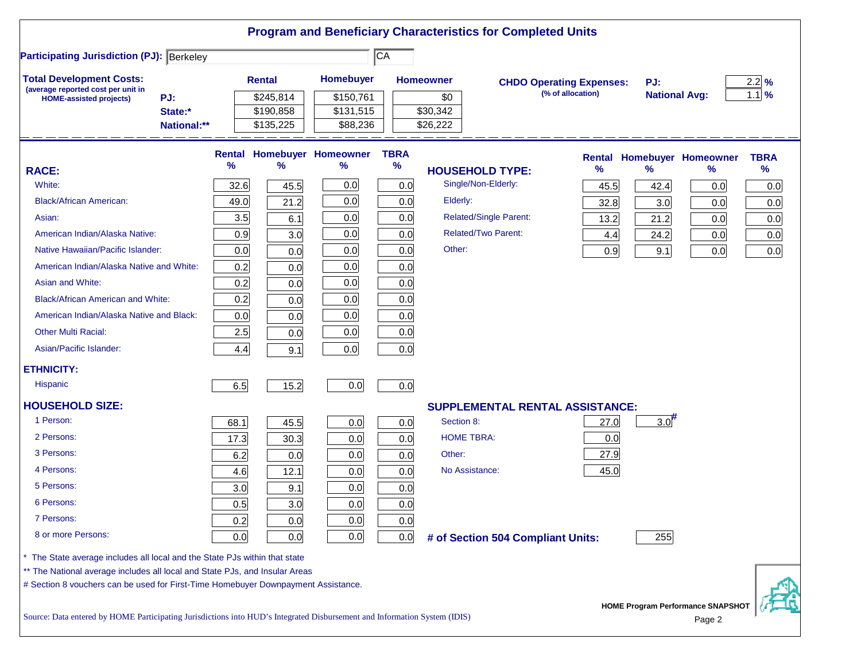|                                                                                                                           |      |               |                                   |                 |                  | <b>Program and Beneficiary Characteristics for Completed Units</b> |                   |                      |                                                    |                  |
|---------------------------------------------------------------------------------------------------------------------------|------|---------------|-----------------------------------|-----------------|------------------|--------------------------------------------------------------------|-------------------|----------------------|----------------------------------------------------|------------------|
| <b>Participating Jurisdiction (PJ): Berkeley</b>                                                                          |      |               |                                   | $\overline{CA}$ |                  |                                                                    |                   |                      |                                                    |                  |
| <b>Total Development Costs:</b>                                                                                           |      | <b>Rental</b> | Homebuyer                         |                 | <b>Homeowner</b> | <b>CHDO Operating Expenses:</b>                                    |                   | PJ:                  |                                                    | $2.2\frac{9}{6}$ |
| (average reported cost per unit in<br>PJ:<br><b>HOME-assisted projects)</b>                                               |      | \$245,814     | \$150,761                         |                 | \$0              |                                                                    | (% of allocation) | <b>National Avg:</b> |                                                    | $1.1$ %          |
| State:*                                                                                                                   |      | \$190,858     | \$131,515                         |                 | \$30,342         |                                                                    |                   |                      |                                                    |                  |
| National:**                                                                                                               |      | \$135,225     | \$88,236                          |                 | \$26,222         |                                                                    |                   |                      |                                                    |                  |
|                                                                                                                           |      |               | <b>Rental Homebuyer Homeowner</b> | <b>TBRA</b>     |                  |                                                                    | <b>Rental</b>     |                      | <b>Homebuyer Homeowner</b>                         | <b>TBRA</b>      |
| <b>RACE:</b>                                                                                                              | $\%$ | $\%$          | ℅                                 | $\%$            |                  | <b>HOUSEHOLD TYPE:</b>                                             | %                 | $\frac{9}{6}$        | ℅                                                  | %                |
| White:                                                                                                                    | 32.6 | 45.5          | 0.0                               | 0.0             |                  | Single/Non-Elderly:                                                | 45.5              | 42.4                 | 0.0                                                | 0.0              |
| <b>Black/African American:</b>                                                                                            | 49.0 | 21.2          | 0.0                               | 0.0             | Elderly:         |                                                                    | 32.8              | 3.0                  | 0.0                                                | 0.0              |
| Asian:                                                                                                                    | 3.5  | 6.1           | 0.0                               | 0.0             |                  | <b>Related/Single Parent:</b>                                      | 13.2              | 21.2                 | 0.0                                                | 0.0              |
| American Indian/Alaska Native:                                                                                            | 0.9  | 3.0           | 0.0                               | 0.0             |                  | <b>Related/Two Parent:</b>                                         | 4.4               | 24.2                 | 0.0                                                | 0.0              |
| Native Hawaiian/Pacific Islander:                                                                                         | 0.0  | 0.0           | 0.0                               | 0.0             | Other:           |                                                                    | 0.9               | 9.1                  | 0.0                                                | 0.0              |
| American Indian/Alaska Native and White:                                                                                  | 0.2  | 0.0           | 0.0                               | 0.0             |                  |                                                                    |                   |                      |                                                    |                  |
| Asian and White:                                                                                                          | 0.2  | 0.0           | 0.0                               | 0.0             |                  |                                                                    |                   |                      |                                                    |                  |
| <b>Black/African American and White:</b>                                                                                  | 0.2  | 0.0           | 0.0                               | 0.0             |                  |                                                                    |                   |                      |                                                    |                  |
| American Indian/Alaska Native and Black:                                                                                  | 0.0  | 0.0           | 0.0                               | 0.0             |                  |                                                                    |                   |                      |                                                    |                  |
| <b>Other Multi Racial:</b>                                                                                                | 2.5  | 0.0           | 0.0                               | 0.0             |                  |                                                                    |                   |                      |                                                    |                  |
| Asian/Pacific Islander:                                                                                                   | 4.4  | 9.1           | 0.0                               | 0.0             |                  |                                                                    |                   |                      |                                                    |                  |
| <b>ETHNICITY:</b>                                                                                                         |      |               |                                   |                 |                  |                                                                    |                   |                      |                                                    |                  |
| <b>Hispanic</b>                                                                                                           | 6.5  | 15.2          | 0.0                               | 0.0             |                  |                                                                    |                   |                      |                                                    |                  |
| <b>HOUSEHOLD SIZE:</b>                                                                                                    |      |               |                                   |                 |                  | SUPPLEMENTAL RENTAL ASSISTANCE:                                    |                   |                      |                                                    |                  |
| 1 Person:                                                                                                                 | 68.1 | 45.5          | 0.0                               | 0.0             | Section 8:       |                                                                    | 27.0              | $3.0$ <sup>#</sup>   |                                                    |                  |
| 2 Persons:                                                                                                                | 17.3 | 30.3          | 0.0                               | 0.0             |                  | <b>HOME TBRA:</b>                                                  | 0.0               |                      |                                                    |                  |
| 3 Persons:                                                                                                                | 6.2  | 0.0           | 0.0                               | 0.0             | Other:           |                                                                    | 27.9              |                      |                                                    |                  |
| 4 Persons:                                                                                                                | 4.6  | 12.1          | 0.0                               | 0.0             |                  | No Assistance:                                                     | 45.0              |                      |                                                    |                  |
| 5 Persons:                                                                                                                | 3.0  | 9.1           | 0.0                               | 0.0             |                  |                                                                    |                   |                      |                                                    |                  |
| 6 Persons:                                                                                                                | 0.5  | 3.0           | 0.0                               | 0.0             |                  |                                                                    |                   |                      |                                                    |                  |
| 7 Persons:                                                                                                                | 0.2  | 0.0           | 0.0                               | 0.0             |                  |                                                                    |                   |                      |                                                    |                  |
| 8 or more Persons:                                                                                                        | 0.0  | 0.0           | 0.0                               | 0.0             |                  | # of Section 504 Compliant Units:                                  |                   | 255                  |                                                    |                  |
| * The State average includes all local and the State PJs within that state                                                |      |               |                                   |                 |                  |                                                                    |                   |                      |                                                    |                  |
| ** The National average includes all local and State PJs, and Insular Areas                                               |      |               |                                   |                 |                  |                                                                    |                   |                      |                                                    |                  |
| # Section 8 vouchers can be used for First-Time Homebuyer Downpayment Assistance.                                         |      |               |                                   |                 |                  |                                                                    |                   |                      |                                                    |                  |
| Source: Data entered by HOME Participating Jurisdictions into HUD's Integrated Disbursement and Information System (IDIS) |      |               |                                   |                 |                  |                                                                    |                   |                      | <b>HOME Program Performance SNAPSHOT</b><br>Page 2 |                  |